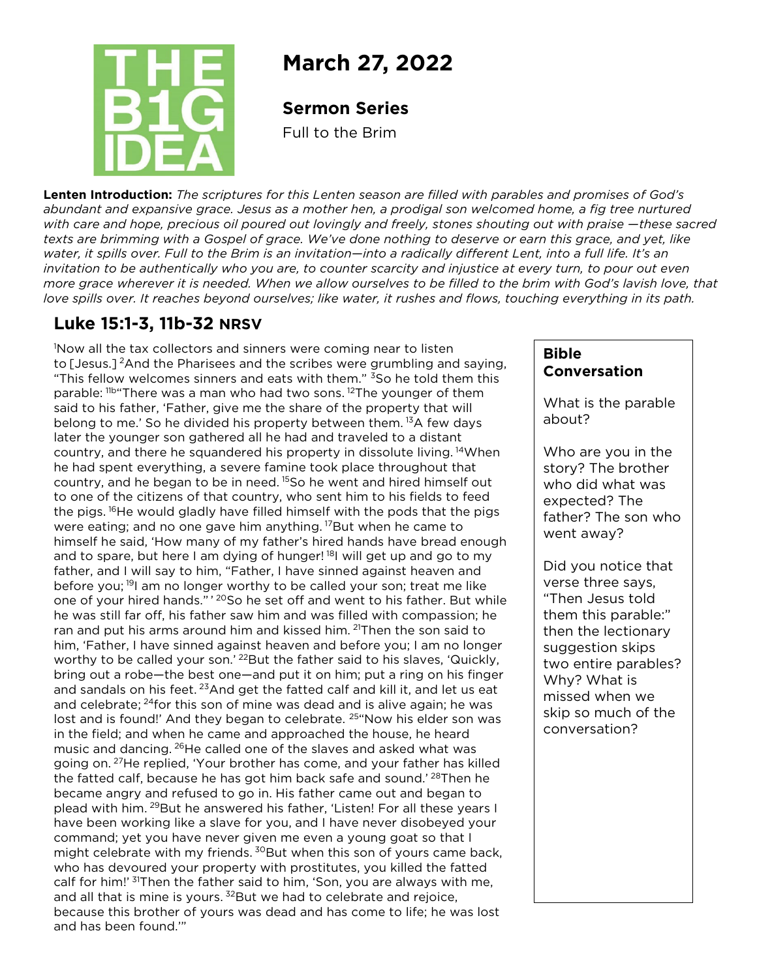

# **March 27, 2022**

#### **Sermon Series**

Full to the Brim

**Lenten Introduction:** *The scriptures for this Lenten season are filled with parables and promises of God's abundant and expansive grace. Jesus as a mother hen, a prodigal son welcomed home, a fig tree nurtured with care and hope, precious oil poured out lovingly and freely, stones shouting out with praise —these sacred texts are brimming with a Gospel of grace. We've done nothing to deserve or earn this grace, and yet, like water, it spills over. Full to the Brim is an invitation—into a radically different Lent, into a full life. It's an invitation to be authentically who you are, to counter scarcity and injustice at every turn, to pour out even more grace wherever it is needed. When we allow ourselves to be filled to the brim with God's lavish love, that love spills over. It reaches beyond ourselves; like water, it rushes and flows, touching everything in its path.*

## **Luke 15:1-3, 11b-32 NRSV**

because this brother of yours was dead and has come to life; he was lost begins to the was lost 1 Now all the tax collectors and sinners were coming near to listen to [Jesus.]<sup>2</sup>And the Pharisees and the scribes were grumbling and saying, "This fellow welcomes sinners and eats with them." <sup>3</sup>So he told them this parable: <sup>11b</sup> There was a man who had two sons. <sup>12</sup>The younger of them said to his father, 'Father, give me the share of the property that will belong to me.' So he divided his property between them.<sup>13</sup>A few days later the younger son gathered all he had and traveled to a distant country, and there he squandered his property in dissolute living. 14When he had spent everything, a severe famine took place throughout that country, and he began to be in need.<sup>15</sup>So he went and hired himself out to one of the citizens of that country, who sent him to his fields to feed the pigs. <sup>16</sup>He would gladly have filled himself with the pods that the pigs were eating; and no one gave him anything.  $^{17}$ But when he came to himself he said, 'How many of my father's hired hands have bread enough and to spare, but here I am dying of hunger!<sup>18</sup>I will get up and go to my father, and I will say to him, "Father, I have sinned against heaven and before you; <sup>19</sup> am no longer worthy to be called your son; treat me like one of your hired hands."<sup>, 20</sup>So he set off and went to his father. But while he was still far off, his father saw him and was filled with compassion; he ran and put his arms around him and kissed him. <sup>21</sup>Then the son said to him, 'Father, I have sinned against heaven and before you; I am no longer worthy to be called your son.' <sup>22</sup>But the father said to his slaves, 'Quickly, bring out a robe—the best one—and put it on him; put a ring on his finger and sandals on his feet.  $^{23}$ And get the fatted calf and kill it, and let us eat and celebrate;  $24$  for this son of mine was dead and is alive again; he was lost and is found!' And they began to celebrate. <sup>25</sup>"Now his elder son was in the field; and when he came and approached the house, he heard music and dancing. 26He called one of the slaves and asked what was going on. 27He replied, 'Your brother has come, and your father has killed the fatted calf, because he has got him back safe and sound.<sup>' 28</sup>Then he became angry and refused to go in. His father came out and began to plead with him. <sup>29</sup>But he answered his father, 'Listen! For all these years I have been working like a slave for you, and I have never disobeyed your command; yet you have never given me even a young goat so that I might celebrate with my friends. <sup>30</sup>But when this son of yours came back, who has devoured your property with prostitutes, you killed the fatted calf for him!' <sup>31</sup>Then the father said to him, 'Son, you are always with me, and all that is mine is yours.  $32$  But we had to celebrate and rejoice, and has been found.""

#### **Bible Conversation**

What is the parable about?

Who are you in the story? The brother who did what was expected? The father? The son who went away?

Did you notice that verse three says, "Then Jesus told them this parable:" then the lectionary suggestion skips two entire parables? Why? What is missed when we skip so much of the conversation?